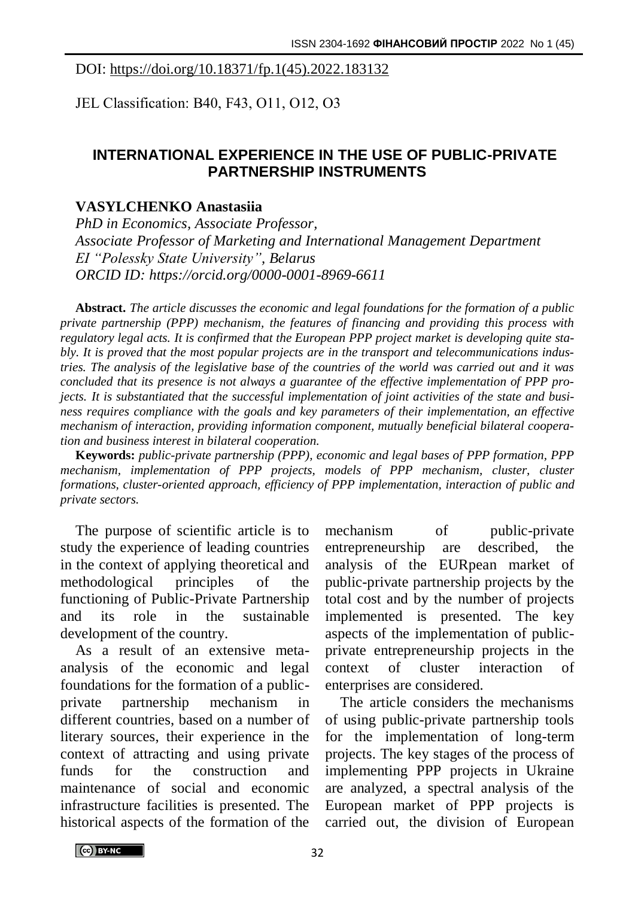## DOI: https://doi.org/10.18371/fp.1(45).2022.183132

JEL Classіfіcatіon: В40, F43, O11, O12, O3

## **INTERNATIONAL EXPERIENCE IN THE USE OF PUBLIC-PRIVATE PARTNERSHIP INSTRUMENTS**

## **VASYLCHENKO Anastasiia**

*PhD in Economics, Associate Professor, Associate Professor of Marketing and International Management Department EI "Polessky State University", Belarus ORCID ID: https://orcid.org/0000-0001-8969-6611*

**Abstract.** *The article discusses the economic and legal foundations for the formation of a public private partnership (PPP) mechanism, the features of financing and providing this process with regulatory legal acts. It is confirmed that the European PPP project market is developing quite stably. It is proved that the most popular projects are in the transport and telecommunications industries. The analysis of the legislative base of the countries of the world was carried out and it was concluded that its presence is not always a guarantee of the effective implementation of PPP projects. It is substantiated that the successful implementation of joint activities of the state and business requires compliance with the goals and key parameters of their implementation, an effective mechanism of interaction, providing information component, mutually beneficial bilateral cooperation and business interest in bilateral cooperation.*

**Keywords:** *public-private partnership (PPP), economic and legal bases of PPP formation, PPP mechanism, implementation of PPP projects, models of PPP mechanism, cluster, cluster formations, cluster-oriented approach, efficiency of PPP implementation, interaction of public and private sectors.*

The purpose of scientific article is to study the experience of leading countries in the context of applying theoretical and methodological principles of the functioning of Public-Private Partnership and its role in the sustainable development of the country.

As a result of an extensive metaanalysis of the economic and legal foundations for the formation of a publicprivate partnership mechanism in different countries, based on a number of literary sources, their experience in the context of attracting and using private funds for the construction and maintenance of social and economic infrastructure facilities is presented. The historical aspects of the formation of the

mechanism of public-private entrepreneurship are described, the analysis of the EURpean market of public-private partnership projects by the total cost and by the number of projects implemented is presented. The key aspects of the implementation of publicprivate entrepreneurship projects in the context of cluster interaction of enterprises are considered.

The article considers the mechanisms of using public-private partnership tools for the implementation of long-term projects. The key stages of the process of implementing PPP projects in Ukraine are analyzed, a spectral analysis of the European market of PPP projects is carried out, the division of European